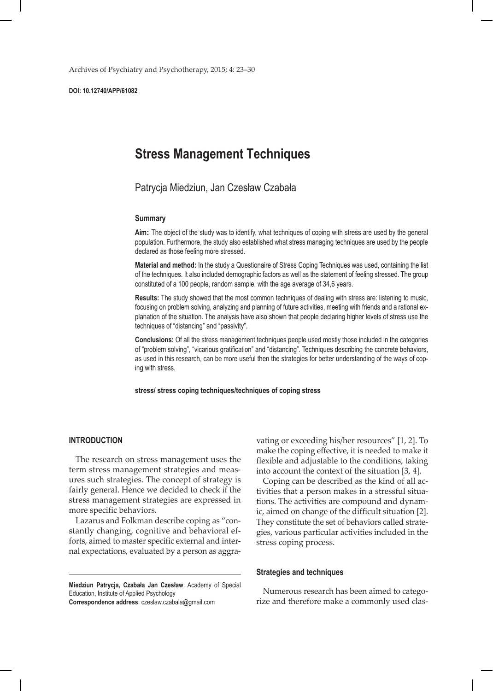Archives of Psychiatry and Psychotherapy, 2015; 4: 23–30

**DOI: 10.12740/APP/61082**

# **Stress Management Techniques**

Patrycja Miedziun, Jan Czesław Czabała

#### **Summary**

**Aim:** The object of the study was to identify, what techniques of coping with stress are used by the general population. Furthermore, the study also established what stress managing techniques are used by the people declared as those feeling more stressed.

**Material and method:** In the study a Questionaire of Stress Coping Techniques was used, containing the list of the techniques. It also included demographic factors as well as the statement of feeling stressed. The group constituted of a 100 people, random sample, with the age average of 34,6 years.

**Results:** The study showed that the most common techniques of dealing with stress are: listening to music, focusing on problem solving, analyzing and planning of future activities, meeting with friends and a rational explanation of the situation. The analysis have also shown that people declaring higher levels of stress use the techniques of "distancing" and "passivity".

**Conclusions:** Of all the stress management techniques people used mostly those included in the categories of "problem solving", "vicarious gratification" and "distancing". Techniques describing the concrete behaviors, as used in this research, can be more useful then the strategies for better understanding of the ways of coping with stress.

**stress/ stress coping techniques/techniques of coping stress**

#### **INTRODUCTION**

The research on stress management uses the term stress management strategies and measures such strategies. The concept of strategy is fairly general. Hence we decided to check if the stress management strategies are expressed in more specific behaviors.

Lazarus and Folkman describe coping as "constantly changing, cognitive and behavioral efforts, aimed to master specific external and internal expectations, evaluated by a person as aggra-

**Miedziun Patrycja, Czabała Jan Czesław**: Academy of Special Education, Institute of Applied Psychology **Correspondence address**: czeslaw.czabala@gmail.com

vating or exceeding his/her resources" [1, 2]. To make the coping effective, it is needed to make it flexible and adjustable to the conditions, taking into account the context of the situation [3, 4].

Coping can be described as the kind of all activities that a person makes in a stressful situations. The activities are compound and dynamic, aimed on change of the difficult situation [2]. They constitute the set of behaviors called strategies, various particular activities included in the stress coping process.

#### **Strategies and techniques**

Numerous research has been aimed to categorize and therefore make a commonly used clas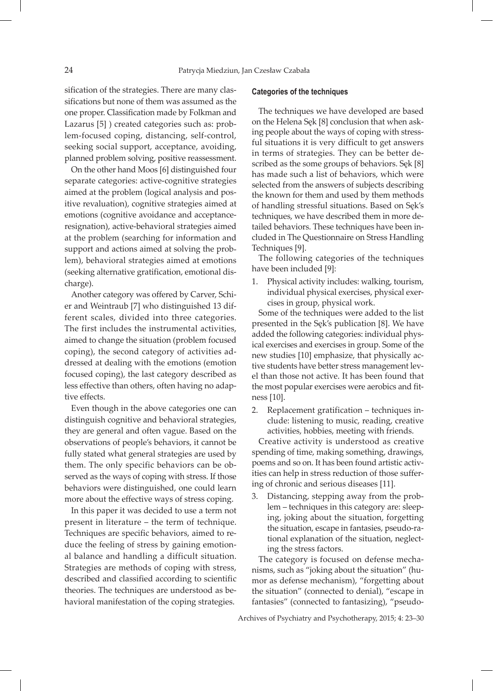sification of the strategies. There are many classifications but none of them was assumed as the one proper. Classification made by Folkman and Lazarus [5] ) created categories such as: problem-focused coping, distancing, self-control, seeking social support, acceptance, avoiding, planned problem solving, positive reassessment.

On the other hand Moos [6] distinguished four separate categories: active-cognitive strategies aimed at the problem (logical analysis and positive revaluation), cognitive strategies aimed at emotions (cognitive avoidance and acceptanceresignation), active-behavioral strategies aimed at the problem (searching for information and support and actions aimed at solving the problem), behavioral strategies aimed at emotions (seeking alternative gratification, emotional discharge).

Another category was offered by Carver, Schier and Weintraub [7] who distinguished 13 different scales, divided into three categories. The first includes the instrumental activities, aimed to change the situation (problem focused coping), the second category of activities addressed at dealing with the emotions (emotion focused coping), the last category described as less effective than others, often having no adaptive effects.

Even though in the above categories one can distinguish cognitive and behavioral strategies, they are general and often vague. Based on the observations of people's behaviors, it cannot be fully stated what general strategies are used by them. The only specific behaviors can be observed as the ways of coping with stress. If those behaviors were distinguished, one could learn more about the effective ways of stress coping.

In this paper it was decided to use a term not present in literature – the term of technique. Techniques are specific behaviors, aimed to reduce the feeling of stress by gaining emotional balance and handling a difficult situation. Strategies are methods of coping with stress, described and classified according to scientific theories. The techniques are understood as behavioral manifestation of the coping strategies.

#### **Categories of the techniques**

The techniques we have developed are based on the Helena Sęk [8] conclusion that when asking people about the ways of coping with stressful situations it is very difficult to get answers in terms of strategies. They can be better described as the some groups of behaviors. Sęk [8] has made such a list of behaviors, which were selected from the answers of subjects describing the known for them and used by them methods of handling stressful situations. Based on Sęk's techniques, we have described them in more detailed behaviors. These techniques have been included in The Questionnaire on Stress Handling Techniques [9].

The following categories of the techniques have been included [9]:

1. Physical activity includes: walking, tourism, individual physical exercises, physical exercises in group, physical work.

Some of the techniques were added to the list presented in the Sęk's publication [8]. We have added the following categories: individual physical exercises and exercises in group. Some of the new studies [10] emphasize, that physically active students have better stress management level than those not active. It has been found that the most popular exercises were aerobics and fitness [10].

2. Replacement gratification – techniques include: listening to music, reading, creative activities, hobbies, meeting with friends.

Creative activity is understood as creative spending of time, making something, drawings, poems and so on. It has been found artistic activities can help in stress reduction of those suffering of chronic and serious diseases [11].

3. Distancing, stepping away from the problem – techniques in this category are: sleeping, joking about the situation, forgetting the situation, escape in fantasies, pseudo-rational explanation of the situation, neglecting the stress factors.

The category is focused on defense mechanisms, such as "joking about the situation" (humor as defense mechanism), "forgetting about the situation" (connected to denial), "escape in fantasies" (connected to fantasizing), "pseudo-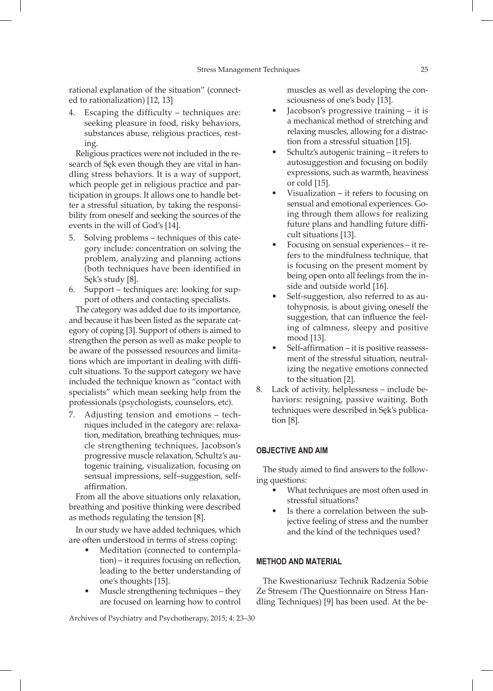rational explanation of the situation" (connected to rationalization) [12, 13]

Escaping the difficulty – techniques are: seeking pleasure in food, risky behaviors, substances abuse, religious practices, resting.

Religious practices were not included in the research of Sęk even though they are vital in handling stress behaviors. It is a way of support, which people get in religious practice and participation in groups. It allows one to handle better a stressful situation, by taking the responsibility from oneself and seeking the sources of the events in the will of God's [14].

- 5. Solving problems techniques of this category include: concentration on solving the problem, analyzing and planning actions (both techniques have been identified in Sęk's study [8].
- 6. Support techniques are: looking for support of others and contacting specialists.

The category was added due to its importance, and because it has been listed as the separate category of coping [3]. Support of others is aimed to strengthen the person as well as make people to be aware of the possessed resources and limitations which are important in dealing with difficult situations. To the support category we have included the technique known as "contact with specialists" which mean seeking help from the professionals (psychologists, counselors, etc).

7. Adjusting tension and emotions – techniques included in the category are: relaxation, meditation, breathing techniques, muscle strengthening techniques, Jacobson's progressive muscle relaxation, Schultz's autogenic training, visualization, focusing on sensual impressions, self–suggestion, selfaffirmation.

From all the above situations only relaxation, breathing and positive thinking were described as methods regulating the tension [8].

In our study we have added techniques, which are often understood in terms of stress coping:

- Meditation (connected to contemplation) – it requires focusing on reflection, leading to the better understanding of one's thoughts [15].
- Muscle strengthening techniques they are focused on learning how to control

Archives of Psychiatry and Psychotherapy, 2015; 4: 23–30

muscles as well as developing the consciousness of one's body [13].

- Jacobson's progressive training it is a mechanical method of stretching and relaxing muscles, allowing for a distraction from a stressful situation [15].
- Schultz's autogenic training it refers to autosuggestion and focusing on bodily expressions, such as warmth, heaviness or cold [15].
- Visualization  $-$  it refers to focusing on sensual and emotional experiences. Going through them allows for realizing future plans and handling future difficult situations [13].
- Focusing on sensual experiences it refers to the mindfulness technique, that is focusing on the present moment by being open onto all feelings from the inside and outside world [16].
- Self-suggestion, also referred to as autohypnosis, is about giving oneself the suggestion, that can influence the feeling of calmness, sleepy and positive mood [13].
- Self-affirmation it is positive reassessment of the stressful situation, neutralizing the negative emotions connected to the situation [2].
- 8. Lack of activity, helplessness include behaviors: resigning, passive waiting. Both techniques were described in Sęk's publication [8].

# **OBJECTIVE AND AIM**

The study aimed to find answers to the following questions:

- What techniques are most often used in stressful situations?
- Is there a correlation between the subjective feeling of stress and the number and the kind of the techniques used?

# **METHOD AND MATERIAL**

The Kwestionariusz Technik Radzenia Sobie Ze Stresem *(*The Questionnaire on Stress Handling Techniques) [9] has been used. At the be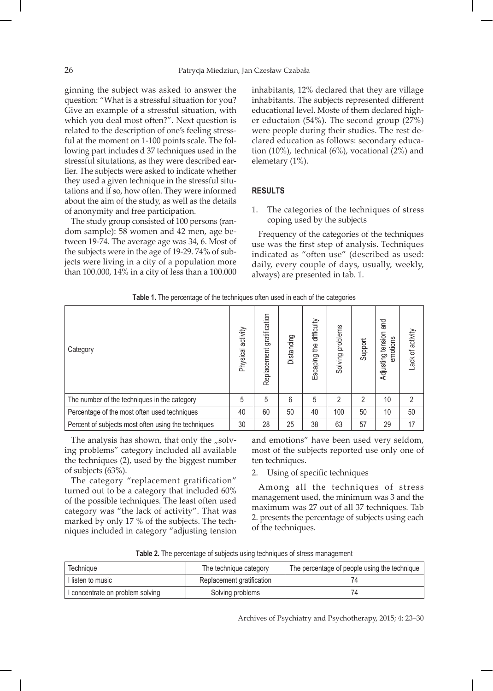ginning the subject was asked to answer the question: "What is a stressful situation for you? Give an example of a stressful situation, with which you deal most often?". Next question is related to the description of one's feeling stressful at the moment on 1-100 points scale. The following part includes d 37 techniques used in the stressful situtations, as they were described earlier. The subjects were asked to indicate whether they used a given technique in the stressful situtations and if so, how often. They were informed about the aim of the study, as well as the details of anonymity and free participation.

The study group consisted of 100 persons (random sample): 58 women and 42 men, age between 19-74. The average age was 34, 6. Most of the subjects were in the age of 19-29. 74% of subjects were living in a city of a population more than 100.000, 14% in a city of less than a 100.000 inhabitants, 12% declared that they are village inhabitants. The subjects represented different educational level. Moste of them declared higher eductaion (54%). The second group (27%) were people during their studies. The rest declared education as follows: secondary education (10%), technical (6%), vocational (2%) and elemetary (1%).

# **RESULTS**

1. The categories of the techniques of stress coping used by the subjects

Frequency of the categories of the techniques use was the first step of analysis. Techniques indicated as "often use" (described as used: daily, every couple of days, usually, weekly, always) are presented in tab. 1.

| <b>TWIND TO THE POLOGHAM OF THE LOCHING TO SHOW MOOTH STORIES ONLY SHOW</b> |                      |                              |            |                            |                     |         |                                         |                  |
|-----------------------------------------------------------------------------|----------------------|------------------------------|------------|----------------------------|---------------------|---------|-----------------------------------------|------------------|
| Category                                                                    | activity<br>Physical | gratification<br>Replacement | Distancing | the difficulty<br>Escaping | problems<br>Solving | Support | and<br>tension<br>emotions<br>Adjusting | Lack of activity |
| The number of the techniques in the category                                | 5                    | 5                            | 6          | 5                          | 2                   | 2       | 10                                      | $\overline{2}$   |
| Percentage of the most often used techniques                                | 40                   | 60                           | 50         | 40                         | 100                 | 50      | 10                                      | 50               |
| Percent of subjects most often using the techniques                         | 30                   | 28                           | 25         | 38                         | 63                  | 57      | 29                                      | 17               |

**Table 1.** The percentage of the techniques often used in each of the categories

The analysis has shown, that only the  $\mu$ solving problems" category included all available the techniques (2), used by the biggest number of subjects (63%).

The category "replacement gratification" turned out to be a category that included 60% of the possible techniques. The least often used category was "the lack of activity". That was marked by only 17 % of the subjects. The techniques included in category "adjusting tension and emotions" have been used very seldom, most of the subjects reported use only one of ten techniques.

2. Using of specific techniques

Among all the techniques of stress management used, the minimum was 3 and the maximum was 27 out of all 37 techniques. Tab 2. presents the percentage of subjects using each of the techniques.

| Technique                        | The technique category    | The percentage of people using the technique |
|----------------------------------|---------------------------|----------------------------------------------|
| I listen to music                | Replacement gratification |                                              |
| I concentrate on problem solving | Solving problems          |                                              |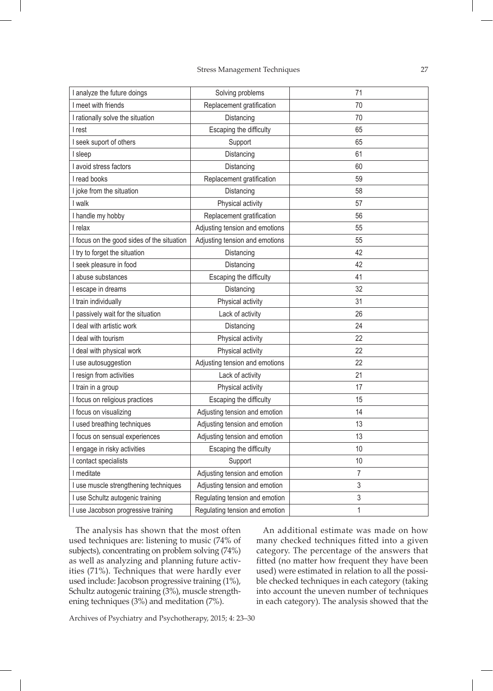| I analyze the future doings                | Solving problems               | 71             |
|--------------------------------------------|--------------------------------|----------------|
| I meet with friends                        | Replacement gratification      | 70             |
| I rationally solve the situation           | Distancing                     | 70             |
| I rest                                     | Escaping the difficulty        | 65             |
| I seek suport of others                    | Support                        | 65             |
| I sleep                                    | Distancing                     | 61             |
| I avoid stress factors                     | Distancing                     | 60             |
| I read books                               | Replacement gratification      | 59             |
| I joke from the situation                  | Distancing                     | 58             |
| I walk                                     | Physical activity              | 57             |
| I handle my hobby                          | Replacement gratification      | 56             |
| I relax                                    | Adjusting tension and emotions | 55             |
| I focus on the good sides of the situation | Adjusting tension and emotions | 55             |
| I try to forget the situation              | Distancing                     | 42             |
| I seek pleasure in food                    | Distancing                     | 42             |
| I abuse substances                         | Escaping the difficulty        | 41             |
| I escape in dreams                         | Distancing                     | 32             |
| I train individually                       | Physical activity              | 31             |
| I passively wait for the situation         | Lack of activity               | 26             |
| I deal with artistic work                  | Distancing                     | 24             |
| I deal with tourism                        | Physical activity              | 22             |
| I deal with physical work                  | Physical activity              | 22             |
| I use autosuggestion                       | Adjusting tension and emotions | 22             |
| I resign from activities                   | Lack of activity               | 21             |
| I train in a group                         | Physical activity              | 17             |
| I focus on religious practices             | Escaping the difficulty        | 15             |
| I focus on visualizing                     | Adjusting tension and emotion  | 14             |
| I used breathing techniques                | Adjusting tension and emotion  | 13             |
| I focus on sensual experiences             | Adjusting tension and emotion  | 13             |
| I engage in risky activities               | Escaping the difficulty        | 10             |
| I contact specialists                      | Support                        | 10             |
| I meditate                                 | Adjusting tension and emotion  | $\overline{7}$ |
| I use muscle strengthening techniques      | Adjusting tension and emotion  | 3              |
| I use Schultz autogenic training           | Regulating tension and emotion | 3              |
| I use Jacobson progressive training        | Regulating tension and emotion | 1              |

The analysis has shown that the most often used techniques are: listening to music (74% of subjects), concentrating on problem solving (74%) as well as analyzing and planning future activities (71%). Techniques that were hardly ever used include: Jacobson progressive training (1%), Schultz autogenic training (3%), muscle strengthening techniques (3%) and meditation (7%).

An additional estimate was made on how many checked techniques fitted into a given category. The percentage of the answers that fitted (no matter how frequent they have been used) were estimated in relation to all the possible checked techniques in each category (taking into account the uneven number of techniques in each category). The analysis showed that the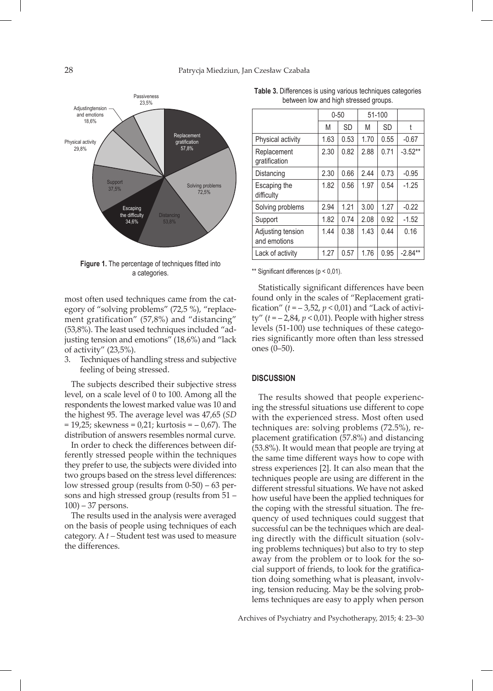

**Figure 1.** The percentage of techniques fitted into a categories.

most often used techniques came from the category of "solving problems" (72,5 %), "replacement gratification" (57,8%) and "distancing" (53,8%). The least used techniques included "adjusting tension and emotions" (18,6%) and "lack of activity" (23,5%).

3. Techniques of handling stress and subjective feeling of being stressed.

The subjects described their subjective stress level, on a scale level of 0 to 100. Among all the respondents the lowest marked value was 10 and the highest 95. The average level was 47,65 (*SD* = 19,25; skewness = 0,21; kurtosis = – 0,67). The distribution of answers resembles normal curve.

In order to check the differences between differently stressed people within the techniques they prefer to use, the subjects were divided into two groups based on the stress level differences: low stressed group (results from 0-50) – 63 persons and high stressed group (results from 51 – 100) – 37 persons.

The results used in the analysis were averaged on the basis of people using techniques of each category. A *t –* Student test was used to measure the differences.

| between low and high stressed groups. |          |           |                  |      |                      |  |
|---------------------------------------|----------|-----------|------------------|------|----------------------|--|
|                                       | $0 - 50$ |           | 51-100           |      |                      |  |
|                                       | M        | <b>SD</b> | M                | SD   |                      |  |
| Physical activity                     | 1.63     | 0.53      | 1.70             | 0.55 | $-0.67$              |  |
| Replacement<br>gratification          | 2.30     | 0.82      | 2.88             | 0.71 | $-3.52**$            |  |
| marche de la final                    | 0.00     | 0.00      | $\sim$ $\lambda$ |      | $\sim$ $\sim$ $\sim$ |  |

**Table 3.** Differences is using various techniques categories

|                                   | .    | ◡◡   | .    | ◡◡   |           |
|-----------------------------------|------|------|------|------|-----------|
| Physical activity                 | 1.63 | 0.53 | 1.70 | 0.55 | $-0.67$   |
| Replacement<br>gratification      | 2.30 | 0.82 | 2.88 | 0.71 | $-3.52**$ |
| Distancing                        | 2.30 | 0.66 | 2.44 | 0.73 | $-0.95$   |
| Escaping the<br>difficulty        | 1.82 | 0.56 | 1.97 | 0.54 | $-1.25$   |
| Solving problems                  | 2.94 | 1.21 | 3.00 | 1.27 | $-0.22$   |
| Support                           | 1.82 | 0.74 | 2.08 | 0.92 | $-1.52$   |
| Adjusting tension<br>and emotions | 1.44 | 0.38 | 1.43 | 0.44 | 0.16      |
| Lack of activity                  | 1.27 | 0.57 | 1.76 | 0.95 | $-2.84**$ |
|                                   |      |      |      |      |           |

\*\* Significant differences (p < 0,01).

Statistically significant differences have been found only in the scales of "Replacement gratification"  $(t = -3.52, p < 0.01)$  and "Lack of activity"  $(t = -2.84, p < 0.01)$ . People with higher stress levels (51-100) use techniques of these categories significantly more often than less stressed ones (0–50).

# **DISCUSSION**

The results showed that people experiencing the stressful situations use different to cope with the experienced stress. Most often used techniques are: solving problems (72.5%), replacement gratification (57.8%) and distancing (53.8%). It would mean that people are trying at the same time different ways how to cope with stress experiences [2]. It can also mean that the techniques people are using are different in the different stressful situations. We have not asked how useful have been the applied techniques for the coping with the stressful situation. The frequency of used techniques could suggest that successful can be the techniques which are dealing directly with the difficult situation (solving problems techniques) but also to try to step away from the problem or to look for the social support of friends, to look for the gratification doing something what is pleasant, involving, tension reducing. May be the solving problems techniques are easy to apply when person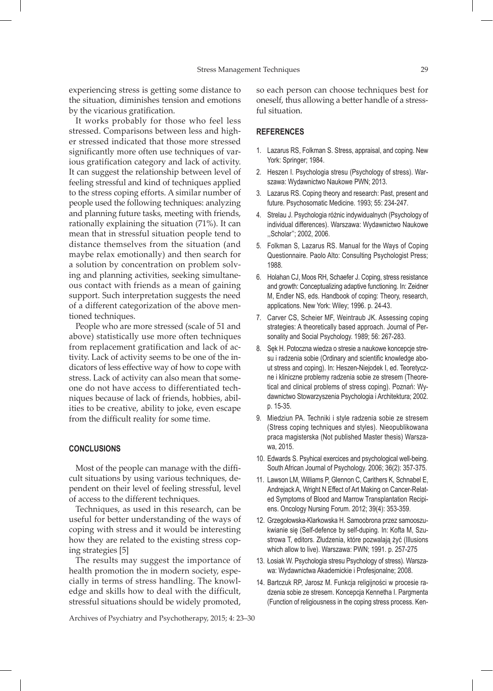experiencing stress is getting some distance to the situation, diminishes tension and emotions by the vicarious gratification.

It works probably for those who feel less stressed. Comparisons between less and higher stressed indicated that those more stressed significantly more often use techniques of various gratification category and lack of activity. It can suggest the relationship between level of feeling stressful and kind of techniques applied to the stress coping efforts. A similar number of people used the following techniques: analyzing and planning future tasks, meeting with friends, rationally explaining the situation (71%). It can mean that in stressful situation people tend to distance themselves from the situation (and maybe relax emotionally) and then search for a solution by concentration on problem solving and planning activities, seeking simultaneous contact with friends as a mean of gaining support. Such interpretation suggests the need of a different categorization of the above mentioned techniques.

People who are more stressed (scale of 51 and above) statistically use more often techniques from replacement gratification and lack of activity. Lack of activity seems to be one of the indicators of less effective way of how to cope with stress. Lack of activity can also mean that someone do not have access to differentiated techniques because of lack of friends, hobbies, abilities to be creative, ability to joke, even escape from the difficult reality for some time.

#### **CONCLUSIONS**

Most of the people can manage with the difficult situations by using various techniques, dependent on their level of feeling stressful, level of access to the different techniques.

Techniques, as used in this research, can be useful for better understanding of the ways of coping with stress and it would be interesting how they are related to the existing stress coping strategies [5]

The results may suggest the importance of health promotion the in modern society, especially in terms of stress handling. The knowledge and skills how to deal with the difficult, stressful situations should be widely promoted, so each person can choose techniques best for oneself, thus allowing a better handle of a stressful situation.

## **REFERENCES**

- 1. Lazarus RS, Folkman S. Stress, appraisal, and coping. New York: Springer; 1984.
- 2. Heszen I. Psychologia stresu (Psychology of stress). Warszawa: Wydawnictwo Naukowe PWN; 2013.
- 3. Lazarus RS. Coping theory and research: Past, present and future. Psychosomatic Medicine. 1993; 55: 234-247.
- 4. Strelau J. Psychologia różnic indywidualnych (Psychology of individual differences). Warszawa: Wydawnictwo Naukowe ,,Scholar''; 2002, 2006.
- 5. Folkman S, Lazarus RS. Manual for the Ways of Coping Questionnaire. Paolo Alto: Consulting Psychologist Press; 1988.
- 6. Holahan CJ, Moos RH, Schaefer J. Coping, stress resistance and growth: Conceptualizing adaptive functioning. In: Zeidner M, Endler NS, eds. Handbook of coping: Theory, research, applications. New York: Wiley; 1996. p. 24-43.
- 7. Carver CS, Scheier MF, Weintraub JK. Assessing coping strategies: A theoretically based approach. Journal of Personality and Social Psychology. 1989; 56: 267-283.
- 8. Sęk H. Potoczna wiedza o stresie a naukowe koncepcje stresu i radzenia sobie (Ordinary and scientific knowledge about stress and coping). In: Heszen-Niejodek I, ed. Teoretyczne i kliniczne problemy radzenia sobie ze stresem (Theoretical and clinical problems of stress coping). Poznań: Wydawnictwo Stowarzyszenia Psychologia i Architektura; 2002. p. 15-35.
- 9. Miedziun PA. Techniki i style radzenia sobie ze stresem (Stress coping techniques and styles). Nieopublikowana praca magisterska (Not published Master thesis) Warszawa, 2015.
- 10. Edwards S. Psyhical exercices and psychological well-being. South African Journal of Psychology. 2006; 36(2): 357-375.
- 11. Lawson LM, Williams P, Glennon C, Carithers K, Schnabel E, Andrejack A, Wright N Effect of Art Making on Cancer-Related Symptoms of Blood and Marrow Transplantation Recipiens. Oncology Nursing Forum. 2012; 39(4): 353-359.
- 12. Grzegołowska-Klarkowska H. Samoobrona przez samooszukwianie się (Self-defence by self-duping. In: Kofta M, Szustrowa T, editors. Złudzenia, które pozwalają żyć (Illusions which allow to live). Warszawa: PWN; 1991. p. 257-275
- 13. Łosiak W. Psychologia stresu Psychology of stress). Warszawa: Wydawnictwa Akademickie i Profesjonalne; 2008.
- 14. Bartczuk RP, Jarosz M. Funkcja religijności w procesie radzenia sobie ze stresem. Koncepcja Kennetha I. Pargmenta (Function of religiousness in the coping stress process. Ken-